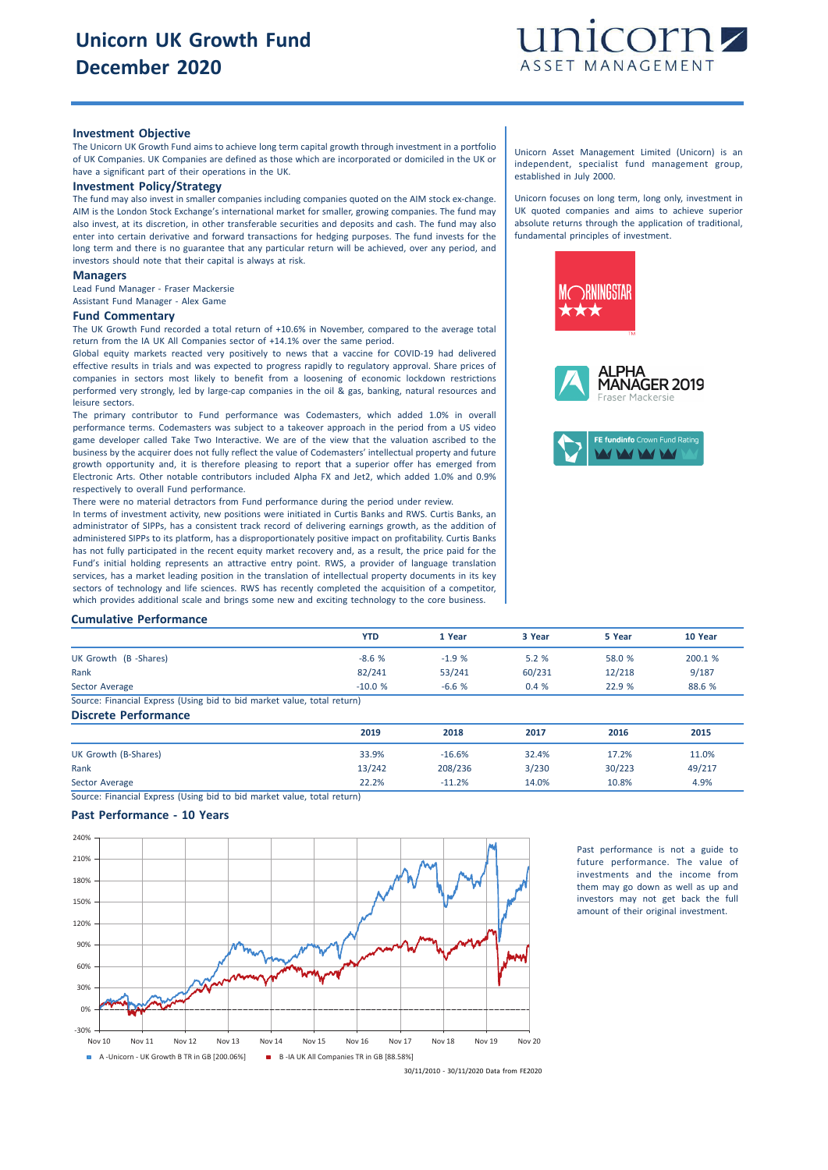

## **Investment Objective**

The Unicorn UK Growth Fund aims to achieve long term capital growth through investment in a portfolio of UK Companies. UK Companies are defined as those which are incorporated or domiciled in the UK or have a significant part of their operations in the UK.

# **Investment Policy/Strategy**

The fund may also invest in smaller companies including companies quoted on the AIM stock ex-change. AIM is the London Stock Exchange's international market for smaller, growing companies. The fund may also invest, at its discretion, in other transferable securities and deposits and cash. The fund may also enter into certain derivative and forward transactions for hedging purposes. The fund invests for the long term and there is no guarantee that any particular return will be achieved, over any period, and investors should note that their capital is always at risk.

#### **Managers**

Lead Fund Manager - Fraser Mackersie Assistant Fund Manager - Alex Game

### **Fund Commentary**

The UK Growth Fund recorded a total return of +10.6% in November, compared to the average total return from the IA UK All Companies sector of +14.1% over the same period.

Global equity markets reacted very positively to news that a vaccine for COVID-19 had delivered effective results in trials and was expected to progress rapidly to regulatory approval. Share prices of companies in sectors most likely to benefit from a loosening of economic lockdown restrictions performed very strongly, led by large-cap companies in the oil & gas, banking, natural resources and leisure sectors.

The primary contributor to Fund performance was Codemasters, which added 1.0% in overall performance terms. Codemasters was subject to a takeover approach in the period from a US video game developer called Take Two Interactive. We are of the view that the valuation ascribed to the business by the acquirer does not fully reflect the value of Codemasters' intellectual property and future growth opportunity and, it is therefore pleasing to report that a superior offer has emerged from Electronic Arts. Other notable contributors included Alpha FX and Jet2, which added 1.0% and 0.9% respectively to overall Fund performance.

There were no material detractors from Fund performance during the period under review.

In terms of investment activity, new positions were initiated in Curtis Banks and RWS. Curtis Banks, an administrator of SIPPs, has a consistent track record of delivering earnings growth, as the addition of administered SIPPs to its platform, has a disproportionately positive impact on profitability. Curtis Banks has not fully participated in the recent equity market recovery and, as a result, the price paid for the Fund's initial holding represents an attractive entry point. RWS, a provider of language translation services, has a market leading position in the translation of intellectual property documents in its key sectors of technology and life sciences. RWS has recently completed the acquisition of a competitor, which provides additional scale and brings some new and exciting technology to the core business.

Unicorn Asset Management Limited (Unicorn) is an independent, specialist fund management group, established in July 2000.

Unicorn focuses on long term, long only, investment in UK quoted companies and aims to achieve superior absolute returns through the application of traditional, fundamental principles of investment.







#### **Cumulative Performance**

|                                                                         | <b>YTD</b> | 1 Year  | 3 Year | 5 Year | 10 Year |
|-------------------------------------------------------------------------|------------|---------|--------|--------|---------|
| UK Growth (B-Shares)                                                    | $-8.6%$    | $-1.9%$ | 5.2%   | 58.0 % | 200.1 % |
| Rank                                                                    | 82/241     | 53/241  | 60/231 | 12/218 | 9/187   |
| Sector Average                                                          | $-10.0%$   | $-6.6%$ | 0.4%   | 22.9 % | 88.6 %  |
| Source: Financial Express (Using bid to bid market value, total return) |            |         |        |        |         |

#### **Discrete Performance**

|                      | 2019   | 2018     | 2017  | 2016   | 2015   |
|----------------------|--------|----------|-------|--------|--------|
| UK Growth (B-Shares) | 33.9%  | $-16.6%$ | 32.4% | 17.2%  | 11.0%  |
| Rank                 | 13/242 | 208/236  | 3/230 | 30/223 | 49/217 |
| Sector Average       | 22.2%  | $-11.2%$ | 14.0% | 10.8%  | 4.9%   |

Source: Financial Express (Using bid to bid market value, total return)

# **Past Performance - 10 Years**



Past performance is not a guide to future performance. The value of investments and the income from them may go down as well as up and investors may not get back the full amount of their original investment.